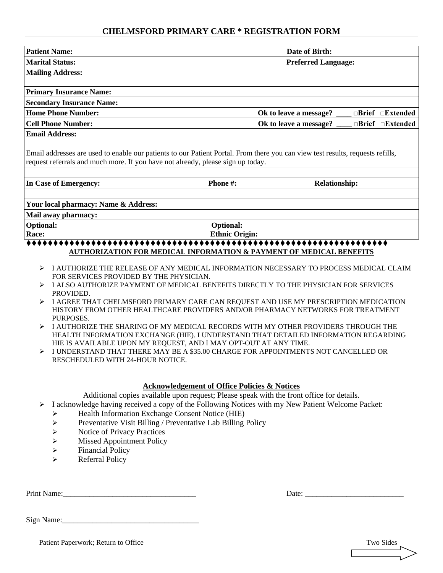### **CHELMSFORD PRIMARY CARE \* REGISTRATION FORM**

| <b>Patient Name:</b>                                                                                                                                                                                              |                                                                                       | Date of Birth:       |  |                              |  |  |
|-------------------------------------------------------------------------------------------------------------------------------------------------------------------------------------------------------------------|---------------------------------------------------------------------------------------|----------------------|--|------------------------------|--|--|
| <b>Marital Status:</b><br><b>Preferred Language:</b>                                                                                                                                                              |                                                                                       |                      |  |                              |  |  |
| <b>Mailing Address:</b>                                                                                                                                                                                           |                                                                                       |                      |  |                              |  |  |
| <b>Primary Insurance Name:</b>                                                                                                                                                                                    |                                                                                       |                      |  |                              |  |  |
| <b>Secondary Insurance Name:</b>                                                                                                                                                                                  |                                                                                       |                      |  |                              |  |  |
| <b>Home Phone Number:</b><br>$\Box$ Brief $\Box$ Extended<br>Ok to leave a message?                                                                                                                               |                                                                                       |                      |  |                              |  |  |
| <b>Cell Phone Number:</b>                                                                                                                                                                                         | Ok to leave a message?                                                                |                      |  | $\Box$ Brief $\Box$ Extended |  |  |
| <b>Email Address:</b>                                                                                                                                                                                             |                                                                                       |                      |  |                              |  |  |
| Email addresses are used to enable our patients to our Patient Portal. From there you can view test results, requests refills,<br>request referrals and much more. If you have not already, please sign up today. |                                                                                       |                      |  |                              |  |  |
| In Case of Emergency:                                                                                                                                                                                             | Phone #:                                                                              | <b>Relationship:</b> |  |                              |  |  |
|                                                                                                                                                                                                                   |                                                                                       |                      |  |                              |  |  |
| Your local pharmacy: Name & Address:                                                                                                                                                                              |                                                                                       |                      |  |                              |  |  |
| Mail away pharmacy:                                                                                                                                                                                               |                                                                                       |                      |  |                              |  |  |
| <b>Optional:</b>                                                                                                                                                                                                  | Optional:                                                                             |                      |  |                              |  |  |
| Race:                                                                                                                                                                                                             | <b>Ethnic Origin:</b>                                                                 |                      |  |                              |  |  |
|                                                                                                                                                                                                                   | <b>AUTHORIZATION FOR MEDICAL INFORMATION &amp; PAYMENT OF MEDICAL BENEFITS</b>        |                      |  |                              |  |  |
| ➤                                                                                                                                                                                                                 | I AUTHORIZE THE RELEASE OF ANY MEDICAL INFORMATION NECESSARY TO PROCESS MEDICAL CLAIM |                      |  |                              |  |  |
| FOR SERVICES PROVIDED BY THE PHYSICIAN.                                                                                                                                                                           | I ALSO AUTHORIZE PAYMENT OF MEDICAL BENEFITS DIRECTLY TO THE PHYSICIAN FOR SERVICES   |                      |  |                              |  |  |
| PROVIDED.                                                                                                                                                                                                         |                                                                                       |                      |  |                              |  |  |
|                                                                                                                                                                                                                   | I AGREE THAT CHELMSFORD PRIMARY CARE CAN REQUEST AND USE MY PRESCRIPTION MEDICATION   |                      |  |                              |  |  |
|                                                                                                                                                                                                                   | HISTORY FROM OTHER HEALTHCARE PROVIDERS AND/OR PHARMACY NETWORKS FOR TREATMENT        |                      |  |                              |  |  |
| PURPOSES.<br>➤                                                                                                                                                                                                    | I AUTHORIZE THE SHARING OF MY MEDICAL RECORDS WITH MY OTHER PROVIDERS THROUGH THE     |                      |  |                              |  |  |
|                                                                                                                                                                                                                   | HEALTH INFORMATION EXCHANGE (HIE). I UNDERSTAND THAT DETAILED INFORMATION REGARDING   |                      |  |                              |  |  |
|                                                                                                                                                                                                                   | HIE IS AVAILABLE UPON MY REQUEST, AND I MAY OPT-OUT AT ANY TIME.                      |                      |  |                              |  |  |
| RESCHEDULED WITH 24-HOUR NOTICE.                                                                                                                                                                                  | I UNDERSTAND THAT THERE MAY BE A \$35.00 CHARGE FOR APPOINTMENTS NOT CANCELLED OR     |                      |  |                              |  |  |
|                                                                                                                                                                                                                   |                                                                                       |                      |  |                              |  |  |
|                                                                                                                                                                                                                   |                                                                                       |                      |  |                              |  |  |
|                                                                                                                                                                                                                   | <b>Acknowledgement of Office Policies &amp; Notices</b>                               |                      |  |                              |  |  |

Additional copies available upon request; Please speak with the front office for details.

- ➢ I acknowledge having received a copy of the Following Notices with my New Patient Welcome Packet:
	- ➢ Health Information Exchange Consent Notice (HIE)
	- ➢ Preventative Visit Billing / Preventative Lab Billing Policy
	- ➢ Notice of Privacy Practices
	- $\triangleright$  Missed Appointment Policy<br> $\triangleright$  Financial Policy
	- $\triangleright$  Financial Policy<br> $\triangleright$  Referral Policy
	- Referral Policy

Print Name:\_\_\_\_\_\_\_\_\_\_\_\_\_\_\_\_\_\_\_\_\_\_\_\_\_\_\_\_\_\_\_\_\_\_\_ Date: \_\_\_\_\_\_\_\_\_\_\_\_\_\_\_\_\_\_\_\_\_\_\_\_\_\_

Sign Name:\_\_\_\_\_\_\_\_\_\_\_\_\_\_\_\_\_\_\_\_\_\_\_\_\_\_\_\_\_\_\_\_\_\_\_\_

Patient Paperwork; Return to Office Two Sides Two Sides Two Sides Two Sides Two Sides

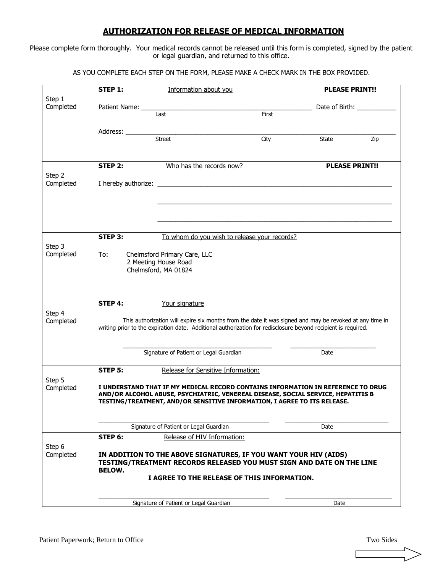#### **AUTHORIZATION FOR RELEASE OF MEDICAL INFORMATION**

Please complete form thoroughly. Your medical records cannot be released until this form is completed, signed by the patient or legal guardian, and returned to this office.

AS YOU COMPLETE EACH STEP ON THE FORM, PLEASE MAKE A CHECK MARK IN THE BOX PROVIDED.

|                     | <b>STEP 1:</b><br>Information about you |                                                                                                                                                                                                                                                  |       | <b>PLEASE PRINT!!</b> |                |  |
|---------------------|-----------------------------------------|--------------------------------------------------------------------------------------------------------------------------------------------------------------------------------------------------------------------------------------------------|-------|-----------------------|----------------|--|
| Step 1<br>Completed |                                         |                                                                                                                                                                                                                                                  |       |                       | Date of Birth: |  |
|                     |                                         | Last                                                                                                                                                                                                                                             | First |                       |                |  |
|                     | Address: <u>Community Street</u>        |                                                                                                                                                                                                                                                  |       |                       |                |  |
|                     |                                         |                                                                                                                                                                                                                                                  | City  | State                 | Zip            |  |
|                     | STEP 2:                                 | Who has the records now?                                                                                                                                                                                                                         |       | <b>PLEASE PRINT!!</b> |                |  |
| Step 2<br>Completed |                                         |                                                                                                                                                                                                                                                  |       |                       |                |  |
|                     |                                         |                                                                                                                                                                                                                                                  |       |                       |                |  |
|                     | STEP 3:                                 | To whom do you wish to release your records?                                                                                                                                                                                                     |       |                       |                |  |
| Step 3<br>Completed | To:                                     | Chelmsford Primary Care, LLC<br>2 Meeting House Road<br>Chelmsford, MA 01824                                                                                                                                                                     |       |                       |                |  |
| Step 4<br>Completed | STEP 4:                                 | Your signature<br>This authorization will expire six months from the date it was signed and may be revoked at any time in<br>writing prior to the expiration date. Additional authorization for redisclosure beyond recipient is required.       |       |                       |                |  |
|                     |                                         |                                                                                                                                                                                                                                                  |       |                       |                |  |
|                     |                                         | Signature of Patient or Legal Guardian                                                                                                                                                                                                           |       | Date                  |                |  |
| Step 5              | STEP 5:                                 | Release for Sensitive Information:                                                                                                                                                                                                               |       |                       |                |  |
| Completed           |                                         | I UNDERSTAND THAT IF MY MEDICAL RECORD CONTAINS INFORMATION IN REFERENCE TO DRUG<br>AND/OR ALCOHOL ABUSE, PSYCHIATRIC, VENEREAL DISEASE, SOCIAL SERVICE, HEPATITIS B<br>TESTING/TREATMENT, AND/OR SENSITIVE INFORMATION, I AGREE TO ITS RELEASE. |       |                       |                |  |
|                     |                                         | Signature of Patient or Legal Guardian                                                                                                                                                                                                           |       | Date                  |                |  |
|                     | STEP 6:                                 | Release of HIV Information:                                                                                                                                                                                                                      |       |                       |                |  |
| Step 6<br>Completed | <b>BELOW.</b>                           | IN ADDITION TO THE ABOVE SIGNATURES, IF YOU WANT YOUR HIV (AIDS)<br>TESTING/TREATMENT RECORDS RELEASED YOU MUST SIGN AND DATE ON THE LINE                                                                                                        |       |                       |                |  |
|                     |                                         | I AGREE TO THE RELEASE OF THIS INFORMATION.                                                                                                                                                                                                      |       |                       |                |  |
|                     |                                         | Signature of Patient or Legal Guardian                                                                                                                                                                                                           |       | Date                  |                |  |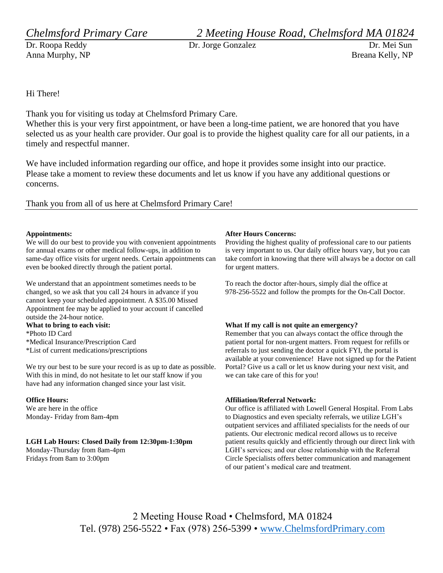Anna Murphy, NP Breana Kelly, NP

*Chelmsford Primary Care 2 Meeting House Road, Chelmsford MA 01824*

Dr. Roopa Reddy Dr. Jorge Gonzalez Dr. Mei Sun

Hi There!

Thank you for visiting us today at Chelmsford Primary Care.

Whether this is your very first appointment, or have been a long-time patient, we are honored that you have selected us as your health care provider. Our goal is to provide the highest quality care for all our patients, in a timely and respectful manner.

We have included information regarding our office, and hope it provides some insight into our practice. Please take a moment to review these documents and let us know if you have any additional questions or concerns.

Thank you from all of us here at Chelmsford Primary Care!

#### **Appointments:**

We will do our best to provide you with convenient appointments for annual exams or other medical follow-ups, in addition to same-day office visits for urgent needs. Certain appointments can even be booked directly through the patient portal.

We understand that an appointment sometimes needs to be changed, so we ask that you call 24 hours in advance if you cannot keep your scheduled appointment. A \$35.00 Missed Appointment fee may be applied to your account if cancelled outside the 24-hour notice. **What to bring to each visit:**

\*Photo ID Card \*Medical Insurance/Prescription Card \*List of current medications/prescriptions

We try our best to be sure your record is as up to date as possible. With this in mind, do not hesitate to let our staff know if you have had any information changed since your last visit.

#### **Office Hours:**

We are here in the office Monday- Friday from 8am-4pm

#### **LGH Lab Hours: Closed Daily from 12:30pm-1:30pm**

Monday-Thursday from 8am-4pm Fridays from 8am to 3:00pm

#### **After Hours Concerns:**

Providing the highest quality of professional care to our patients is very important to us. Our daily office hours vary, but you can take comfort in knowing that there will always be a doctor on call for urgent matters.

To reach the doctor after-hours, simply dial the office at 978-256-5522 and follow the prompts for the On-Call Doctor.

#### **What If my call is not quite an emergency?**

Remember that you can always contact the office through the patient portal for non-urgent matters. From request for refills or referrals to just sending the doctor a quick FYI, the portal is available at your convenience! Have not signed up for the Patient Portal? Give us a call or let us know during your next visit, and we can take care of this for you!

#### **Affiliation/Referral Network:**

Our office is affiliated with Lowell General Hospital. From Labs to Diagnostics and even specialty referrals, we utilize LGH's outpatient services and affiliated specialists for the needs of our patients. Our electronic medical record allows us to receive patient results quickly and efficiently through our direct link with LGH's services; and our close relationship with the Referral Circle Specialists offers better communication and management of our patient's medical care and treatment.

2 Meeting House Road • Chelmsford, MA 01824 Tel. (978) 256-5522 • Fax (978) 256-5399 • [www.ChelmsfordPrimary.com](http://www.chelmsfordprimary.com/)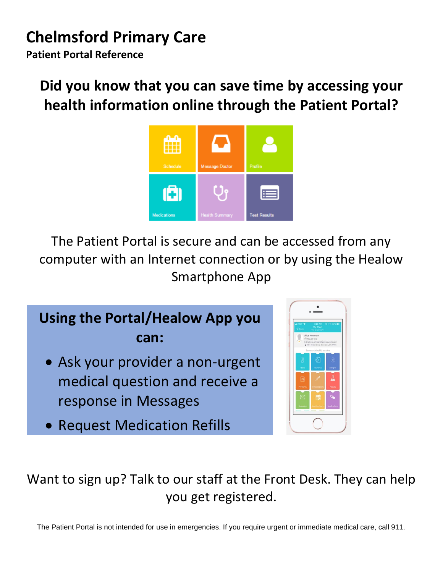# **Chelmsford Primary Care**

**Patient Portal Reference** 

# **Did you know that you can save time by accessing your health information online through the Patient Portal?**



The Patient Portal is secure and can be accessed from any computer with an Internet connection or by using the Healow Smartphone App

# **Using the Portal/Healow App you can:**

- Ask your provider a non-urgent medical question and receive a response in Messages
- Request Medication Refills



## Want to sign up? Talk to our staff at the Front Desk. They can help you get registered.  $\frac{1}{2}$  to sign un? Talk to our staff at t

The Patient Portal is not intended for use in emergencies. If you require urgent or immediate medical care, call 911.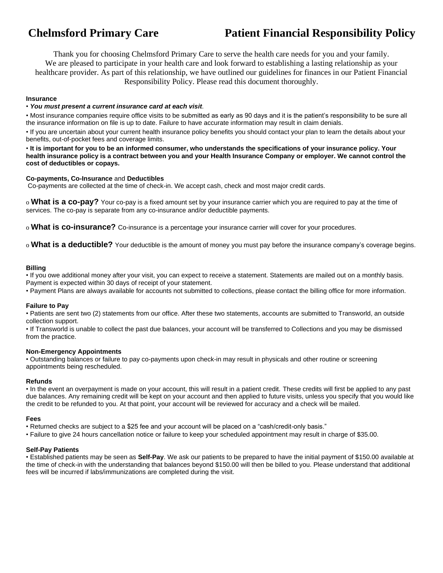## **Chelmsford Primary Care Patient Financial Responsibility Policy**

Thank you for choosing Chelmsford Primary Care to serve the health care needs for you and your family. We are pleased to participate in your health care and look forward to establishing a lasting relationship as your healthcare provider. As part of this relationship, we have outlined our guidelines for finances in our Patient Financial Responsibility Policy. Please read this document thoroughly.

#### **Insurance**

#### • *You must present a current insurance card at each visit*.

• Most insurance companies require office visits to be submitted as early as 90 days and it is the patient's responsibility to be sure all the insurance information on file is up to date. Failure to have accurate information may result in claim denials.

• If you are uncertain about your current health insurance policy benefits you should contact your plan to learn the details about your benefits, out-of-pocket fees and coverage limits.

• **It is important for you to be an informed consumer, who understands the specifications of your insurance policy. Your health insurance policy is a contract between you and your Health Insurance Company or employer. We cannot control the cost of deductibles or copays.** 

#### **Co-payments, Co-Insurance** and **Deductibles**

Co-payments are collected at the time of check-in. We accept cash, check and most major credit cards.

o **What is a co-pay?** Your co-pay is a fixed amount set by your insurance carrier which you are required to pay at the time of services. The co-pay is separate from any co-insurance and/or deductible payments.

o **What is co-insurance?** Co-insurance is a percentage your insurance carrier will cover for your procedures.

o **What is a deductible?** Your deductible is the amount of money you must pay before the insurance company's coverage begins.

#### **Billing**

• If you owe additional money after your visit, you can expect to receive a statement. Statements are mailed out on a monthly basis. Payment is expected within 30 days of receipt of your statement.

• Payment Plans are always available for accounts not submitted to collections, please contact the billing office for more information.

#### **Failure to Pay**

• Patients are sent two (2) statements from our office. After these two statements, accounts are submitted to Transworld, an outside collection support.

• If Transworld is unable to collect the past due balances, your account will be transferred to Collections and you may be dismissed from the practice.

#### **Non-Emergency Appointments**

• Outstanding balances or failure to pay co-payments upon check-in may result in physicals and other routine or screening appointments being rescheduled.

#### **Refunds**

• In the event an overpayment is made on your account, this will result in a patient credit. These credits will first be applied to any past due balances. Any remaining credit will be kept on your account and then applied to future visits, unless you specify that you would like the credit to be refunded to you. At that point, your account will be reviewed for accuracy and a check will be mailed.

#### **Fees**

• Returned checks are subject to a \$25 fee and your account will be placed on a "cash/credit-only basis."

• Failure to give 24 hours cancellation notice or failure to keep your scheduled appointment may result in charge of \$35.00.

#### **Self-Pay Patients**

• Established patients may be seen as **Self-Pay**. We ask our patients to be prepared to have the initial payment of \$150.00 available at the time of check-in with the understanding that balances beyond \$150.00 will then be billed to you. Please understand that additional fees will be incurred if labs/immunizations are completed during the visit.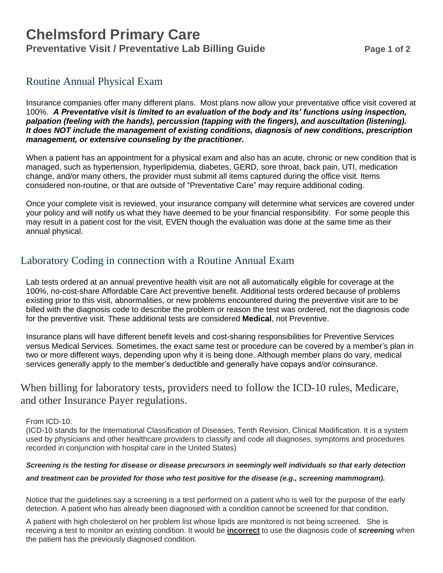## **Chelmsford Primary Care Preventative Visit / Preventative Lab Billing Guide Page 1 of 2**

## Routine Annual Physical Exam

Insurance companies offer many different plans. Most plans now allow your preventative office visit covered at 100%. *A Preventative visit is limited to an evaluation of the body and its' functions using inspection, palpation (feeling with the hands), percussion (tapping with the fingers), and auscultation (listening). It does NOT include the management of existing conditions, diagnosis of new conditions, prescription management, or extensive counseling by the practitioner.*

When a patient has an appointment for a physical exam and also has an acute, chronic or new condition that is managed, such as hypertension, hyperlipidemia, diabetes, GERD, sore throat, back pain, UTI, medication change, and/or many others, the provider must submit all items captured during the office visit. Items considered non-routine, or that are outside of "Preventative Care" may require additional coding.

Once your complete visit is reviewed, your insurance company will determine what services are covered under your policy and will notify us what they have deemed to be your financial responsibility. For some people this may result in a patient cost for the visit, EVEN though the evaluation was done at the same time as their annual physical.

## Laboratory Coding in connection with a Routine Annual Exam

Lab tests ordered at an annual preventive health visit are not all automatically eligible for coverage at the 100%, no-cost-share Affordable Care Act preventive benefit. Additional tests ordered because of problems existing prior to this visit, abnormalities, or new problems encountered during the preventive visit are to be billed with the diagnosis code to describe the problem or reason the test was ordered, not the diagnosis code for the preventive visit. These additional tests are considered **Medical**, not Preventive.

Insurance plans will have different benefit levels and cost-sharing responsibilities for Preventive Services versus Medical Services. Sometimes, the exact same test or procedure can be covered by a member's plan in two or more different ways, depending upon why it is being done. Although member plans do vary, medical services generally apply to the member's deductible and generally have copays and/or coinsurance.

When billing for laboratory tests, providers need to follow the ICD-10 rules, Medicare, and other Insurance Payer regulations.

From ICD-10:

(ICD-10 stands for the International Classification of Diseases, Tenth Revision, Clinical Modification. It is a system used by physicians and other healthcare providers to classify and code all diagnoses, symptoms and procedures recorded in conjunction with hospital care in the United States)

#### *Screening is the testing for disease or disease precursors in seemingly well individuals so that early detection*

#### *and treatment can be provided for those who test positive for the disease (e.g., screening mammogram).*

Notice that the guidelines say a screening is a test performed on a patient who is well for the purpose of the early detection. A patient who has already been diagnosed with a condition cannot be screened for that condition.

A patient with high cholesterol on her problem list whose lipids are monitored is not being screened. She is receiving a test to monitor an existing condition. It would be **incorrect** to use the diagnosis code of *screenin***g** when the patient has the previously diagnosed condition.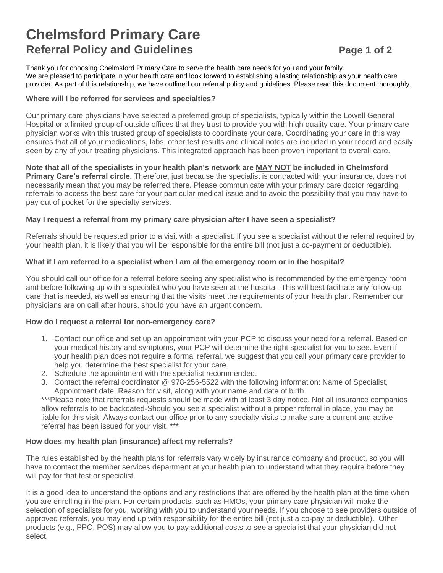## **Chelmsford Primary Care Referral Policy and Guidelines** *Page 1 of 2*

Thank you for choosing Chelmsford Primary Care to serve the health care needs for you and your family. We are pleased to participate in your health care and look forward to establishing a lasting relationship as your health care provider. As part of this relationship, we have outlined our referral policy and guidelines. Please read this document thoroughly.

#### **Where will I be referred for services and specialties?**

Our primary care physicians have selected a preferred group of specialists, typically within the Lowell General Hospital or a limited group of outside offices that they trust to provide you with high quality care. Your primary care physician works with this trusted group of specialists to coordinate your care. Coordinating your care in this way ensures that all of your medications, labs, other test results and clinical notes are included in your record and easily seen by any of your treating physicians. This integrated approach has been proven important to overall care.

**Note that all of the specialists in your health plan's network are MAY NOT be included in Chelmsford Primary Care's referral circle.** Therefore, just because the specialist is contracted with your insurance, does not necessarily mean that you may be referred there. Please communicate with your primary care doctor regarding referrals to access the best care for your particular medical issue and to avoid the possibility that you may have to pay out of pocket for the specialty services.

#### **May I request a referral from my primary care physician after I have seen a specialist?**

Referrals should be requested **prior** to a visit with a specialist. If you see a specialist without the referral required by your health plan, it is likely that you will be responsible for the entire bill (not just a co-payment or deductible).

#### **What if I am referred to a specialist when I am at the emergency room or in the hospital?**

You should call our office for a referral before seeing any specialist who is recommended by the emergency room and before following up with a specialist who you have seen at the hospital. This will best facilitate any follow-up care that is needed, as well as ensuring that the visits meet the requirements of your health plan. Remember our physicians are on call after hours, should you have an urgent concern.

#### **How do I request a referral for non-emergency care?**

- 1. Contact our office and set up an appointment with your PCP to discuss your need for a referral. Based on your medical history and symptoms, your PCP will determine the right specialist for you to see. Even if your health plan does not require a formal referral, we suggest that you call your primary care provider to help you determine the best specialist for your care.
- 2. Schedule the appointment with the specialist recommended.
- 3. Contact the referral coordinator @ 978-256-5522 with the following information: Name of Specialist, Appointment date, Reason for visit, along with your name and date of birth.

\*\*\*Please note that referrals requests should be made with at least 3 day notice. Not all insurance companies allow referrals to be backdated-Should you see a specialist without a proper referral in place, you may be liable for this visit. Always contact our office prior to any specialty visits to make sure a current and active referral has been issued for your visit. \*\*\*

#### **How does my health plan (insurance) affect my referrals?**

The rules established by the health plans for referrals vary widely by insurance company and product, so you will have to contact the member services department at your health plan to understand what they require before they will pay for that test or specialist.

It is a good idea to understand the options and any restrictions that are offered by the health plan at the time when you are enrolling in the plan. For certain products, such as HMOs, your primary care physician will make the selection of specialists for you, working with you to understand your needs. If you choose to see providers outside of approved referrals, you may end up with responsibility for the entire bill (not just a co-pay or deductible). Other products (e.g., PPO, POS) may allow you to pay additional costs to see a specialist that your physician did not select.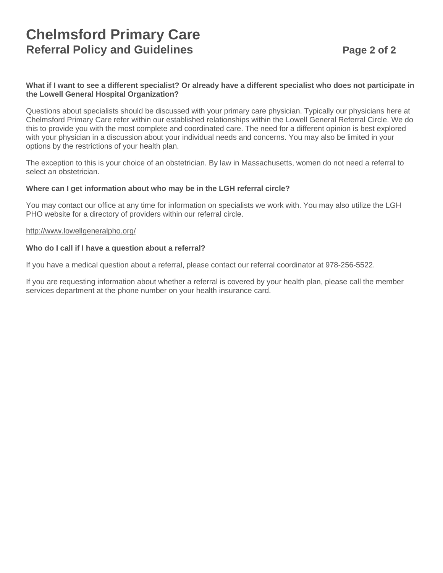## **Chelmsford Primary Care Referral Policy and Guidelines Page 2 of 2**

#### **What if I want to see a different specialist? Or already have a different specialist who does not participate in the Lowell General Hospital Organization?**

Questions about specialists should be discussed with your primary care physician. Typically our physicians here at Chelmsford Primary Care refer within our established relationships within the Lowell General Referral Circle. We do this to provide you with the most complete and coordinated care. The need for a different opinion is best explored with your physician in a discussion about your individual needs and concerns. You may also be limited in your options by the restrictions of your health plan.

The exception to this is your choice of an obstetrician. By law in Massachusetts, women do not need a referral to select an obstetrician.

#### **Where can I get information about who may be in the LGH referral circle?**

You may contact our office at any time for information on specialists we work with. You may also utilize the LGH PHO website for a directory of providers within our referral circle.

#### http://www.lowellgeneralpho.org/

#### **Who do I call if I have a question about a referral?**

If you have a medical question about a referral, please contact our referral coordinator at 978-256-5522.

If you are requesting information about whether a referral is covered by your health plan, please call the member services department at the phone number on your health insurance card.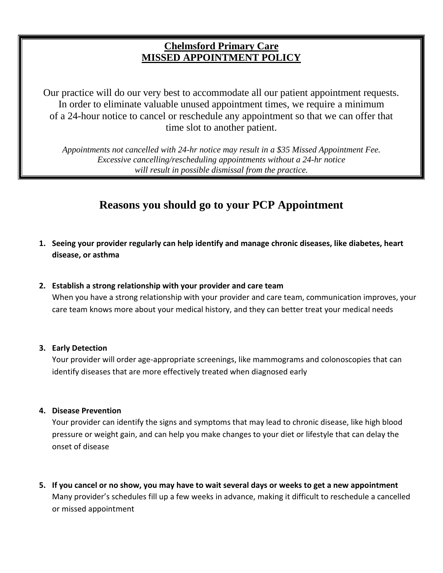## **Chelmsford Primary Care MISSED APPOINTMENT POLICY**

Our practice will do our very best to accommodate all our patient appointment requests. In order to eliminate valuable unused appointment times, we require a minimum of a 24-hour notice to cancel or reschedule any appointment so that we can offer that time slot to another patient.

*Appointments not cancelled with 24-hr notice may result in a \$35 Missed Appointment Fee. Excessive cancelling/rescheduling appointments without a 24-hr notice will result in possible dismissal from the practice.*

## **Reasons you should go to your PCP Appointment**

- **1. Seeing your provider regularly can help identify and manage chronic diseases, like diabetes, heart disease, or asthma**
- **2. Establish a strong relationship with your provider and care team**

When you have a strong relationship with your provider and care team, communication improves, your care team knows more about your medical history, and they can better treat your medical needs

#### **3. Early Detection**

Your provider will order age-appropriate screenings, like mammograms and colonoscopies that can identify diseases that are more effectively treated when diagnosed early

### **4. Disease Prevention**

Your provider can identify the signs and symptoms that may lead to chronic disease, like high blood pressure or weight gain, and can help you make changes to your diet or lifestyle that can delay the onset of disease

**5. If you cancel or no show, you may have to wait several days or weeks to get a new appointment** Many provider's schedules fill up a few weeks in advance, making it difficult to reschedule a cancelled or missed appointment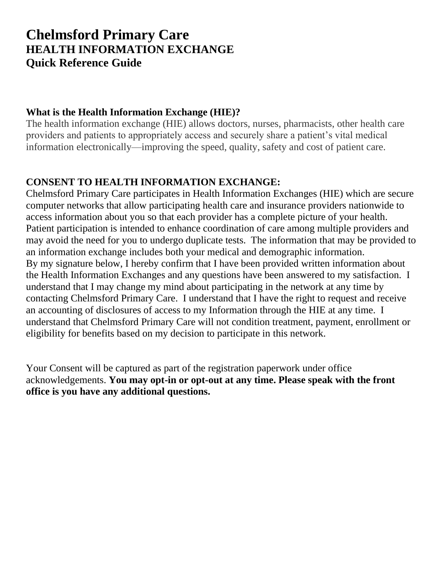## **Chelmsford Primary Care HEALTH INFORMATION EXCHANGE Quick Reference Guide**

## **What is the Health Information Exchange (HIE)?**

The health information exchange (HIE) allows doctors, nurses, pharmacists, other health care providers and patients to appropriately access and securely share a patient's vital medical information electronically—improving the speed, quality, safety and cost of patient care.

## **CONSENT TO HEALTH INFORMATION EXCHANGE:**

Chelmsford Primary Care participates in Health Information Exchanges (HIE) which are secure computer networks that allow participating health care and insurance providers nationwide to access information about you so that each provider has a complete picture of your health. Patient participation is intended to enhance coordination of care among multiple providers and may avoid the need for you to undergo duplicate tests. The information that may be provided to an information exchange includes both your medical and demographic information. By my signature below, I hereby confirm that I have been provided written information about the Health Information Exchanges and any questions have been answered to my satisfaction. I understand that I may change my mind about participating in the network at any time by contacting Chelmsford Primary Care. I understand that I have the right to request and receive an accounting of disclosures of access to my Information through the HIE at any time. I understand that Chelmsford Primary Care will not condition treatment, payment, enrollment or eligibility for benefits based on my decision to participate in this network.

Your Consent will be captured as part of the registration paperwork under office acknowledgements. **You may opt-in or opt-out at any time. Please speak with the front office is you have any additional questions.**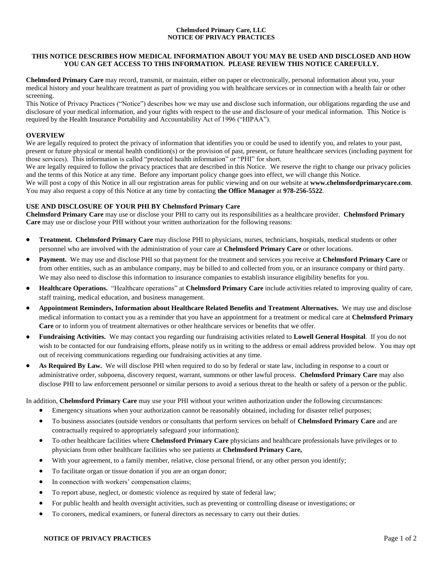#### **Chelmsford Primary Care, LLC NOTICE OF PRIVACY PRACTICES**

#### **THIS NOTICE DESCRIBES HOW MEDICAL INFORMATION ABOUT YOU MAY BE USED AND DISCLOSED AND HOW YOU CAN GET ACCESS TO THIS INFORMATION. PLEASE REVIEW THIS NOTICE CAREFULLY.**

**Chelmsford Primary Care** may record, transmit, or maintain, either on paper or electronically, personal information about you, your medical history and your healthcare treatment as part of providing you with healthcare services or in connection with a health fair or other screening.

This Notice of Privacy Practices ("Notice") describes how we may use and disclose such information, our obligations regarding the use and disclosure of your medical information, and your rights with respect to the use and disclosure of your medical information. This Notice is required by the Health Insurance Portability and Accountability Act of 1996 ("HIPAA").

#### **OVERVIEW**

We are legally required to protect the privacy of information that identifies you or could be used to identify you, and relates to your past, present or future physical or mental health condition(s) or the provision of past, present, or future healthcare services (including payment for those services). This information is called "protected health information" or "PHI" for short.

We are legally required to follow the privacy practices that are described in this Notice. We reserve the right to change our privacy policies and the terms of this Notice at any time. Before any important policy change goes into effect, we will change this Notice.

We will post a copy of this Notice in all our registration areas for public viewing and on our website at **www.chelmsfordprimarycare.com**. You may also request a copy of this Notice at any time by contacting **the Office Manager** at **978-256-5522**.

#### **USE AND DISCLOSURE OF YOUR PHI BY Chelmsford Primary Care**

**Chelmsford Primary Care** may use or disclose your PHI to carry out its responsibilities as a healthcare provider. **Chelmsford Primary Care** may use or disclose your PHI without your written authorization for the following reasons:

- **Treatment. Chelmsford Primary Care** may disclose PHI to physicians, nurses, technicians, hospitals, medical students or other personnel who are involved with the administration of your care at **Chelmsford Primary Care** or other locations.
- **Payment.** We may use and disclose PHI so that payment for the treatment and services you receive at **Chelmsford Primary Care** or from other entities, such as an ambulance company, may be billed to and collected from you, or an insurance company or third party. We may also need to disclose this information to insurance companies to establish insurance eligibility benefits for you.
- **Healthcare Operations.** "Healthcare operations" at **Chelmsford Primary Care** include activities related to improving quality of care, staff training, medical education, and business management.
- **Appointment Reminders, Information about Healthcare Related Benefits and Treatment Alternatives.** We may use and disclose medical information to contact you as a reminder that you have an appointment for a treatment or medical care at **Chelmsford Primary Care** or to inform you of treatment alternatives or other healthcare services or benefits that we offer.
- **Fundraising Activities.** We may contact you regarding our fundraising activities related to **Lowell General Hospital**. If you do not wish to be contacted for our fundraising efforts, please notify us in writing to the address or email address provided below. You may opt out of receiving communications regarding our fundraising activities at any time.
- **As Required By Law.** We will disclose PHI when required to do so by federal or state law, including in response to a court or administrative order, subpoena, discovery request, warrant, summons or other lawful process. **Chelmsford Primary Care** may also disclose PHI to law enforcement personnel or similar persons to avoid a serious threat to the health or safety of a person or the public.

In addition, **Chelmsford Primary Care** may use your PHI without your written authorization under the following circumstances:

- Emergency situations when your authorization cannot be reasonably obtained, including for disaster relief purposes;
- To business associates (outside vendors or consultants that perform services on behalf of **Chelmsford Primary Care** and are contractually required to appropriately safeguard your information);
- To other healthcare facilities where **Chelmsford Primary Care** physicians and healthcare professionals have privileges or to physicians from other healthcare facilities who see patients at **Chelmsford Primary Care,**
- With your agreement, to a family member, relative, close personal friend, or any other person you identify;
- To facilitate organ or tissue donation if you are an organ donor;
- In connection with workers' compensation claims;
- To report abuse, neglect, or domestic violence as required by state of federal law;
- For public health and health oversight activities, such as preventing or controlling disease or investigations; or
- To coroners, medical examiners, or funeral directors as necessary to carry out their duties.

#### **NOTICE OF PRIVACY PRACTICES** Page 1 of 2